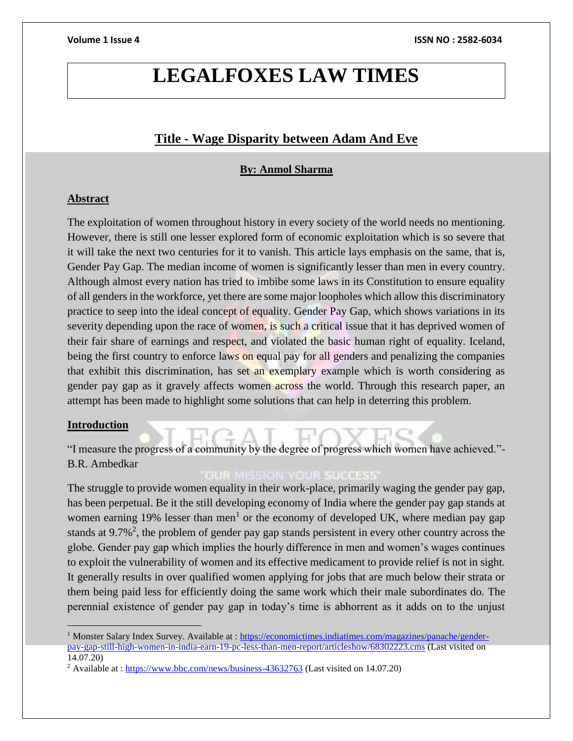## **LEGALFOXES LAW TIMES**

## **Title - Wage Disparity between Adam And Eve**

## **By: Anmol Sharma**

## **Abstract**

The exploitation of women throughout history in every society of the world needs no mentioning. However, there is still one lesser explored form of economic exploitation which is so severe that it will take the next two centuries for it to vanish. This article lays emphasis on the same, that is, Gender Pay Gap. The median income of women is significantly lesser than men in every country. Although almost every nation has tried to imbibe some laws in its Constitution to ensure equality of all genders in the workforce, yet there are some major loopholes which allow this discriminatory practice to seep into the ideal concept of equality. Gender Pay Gap, which shows variations in its severity depending upon the race of women, is such a critical issue that it has deprived women of their fair share of earnings and respect, and violated the basic human right of equality. Iceland, being the first country to enforce laws on equal pay for all genders and penalizing the companies that exhibit this discrimination, has set an exemplary example which is worth considering as gender pay gap as it gravely affects women across the world. Through this research paper, an attempt has been made to highlight some solutions that can help in deterring this problem.

## **Introduction**

"I measure the progress of a community by the degree of progress which women have achieved."- B.R. Ambedkar

## **OUR MISSION YOUR SUCCESS**

The struggle to provide women equality in their work-place, primarily waging the gender pay gap, has been perpetual. Be it the still developing economy of India where the gender pay gap stands at women earning 19% lesser than men<sup>1</sup> or the economy of developed UK, where median pay gap stands at  $9.7\%^2$ , the problem of gender pay gap stands persistent in every other country across the globe. Gender pay gap which implies the hourly difference in men and women's wages continues to exploit the vulnerability of women and its effective medicament to provide relief is not in sight. It generally results in over qualified women applying for jobs that are much below their strata or them being paid less for efficiently doing the same work which their male subordinates do. The perennial existence of gender pay gap in today's time is abhorrent as it adds on to the unjust

<sup>&</sup>lt;sup>1</sup> Monster Salary Index Survey. Available at : [https://economictimes.indiatimes.com/magazines/panache/gender](https://economictimes.indiatimes.com/magazines/panache/gender-pay-gap-still-high-women-in-india-earn-19-pc-less-than-men-report/articleshow/68302223.cms)[pay-gap-still-high-women-in-india-earn-19-pc-less-than-men-report/articleshow/68302223.cms](https://economictimes.indiatimes.com/magazines/panache/gender-pay-gap-still-high-women-in-india-earn-19-pc-less-than-men-report/articleshow/68302223.cms) (Last visited on 14.07.20)

<sup>&</sup>lt;sup>2</sup> Available at :<https://www.bbc.com/news/business-43632763> (Last visited on 14.07.20)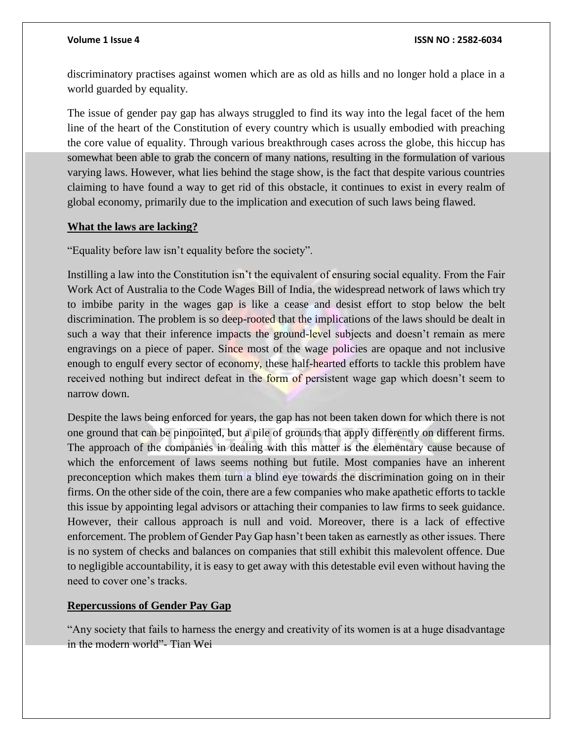#### **Volume 1 Issue 4 ISSN NO : 2582-6034**

discriminatory practises against women which are as old as hills and no longer hold a place in a world guarded by equality.

The issue of gender pay gap has always struggled to find its way into the legal facet of the hem line of the heart of the Constitution of every country which is usually embodied with preaching the core value of equality. Through various breakthrough cases across the globe, this hiccup has somewhat been able to grab the concern of many nations, resulting in the formulation of various varying laws. However, what lies behind the stage show, is the fact that despite various countries claiming to have found a way to get rid of this obstacle, it continues to exist in every realm of global economy, primarily due to the implication and execution of such laws being flawed.

#### **What the laws are lacking?**

"Equality before law isn't equality before the society".

Instilling a law into the Constitution isn't the equivalent of ensuring social equality. From the Fair Work Act of Australia to the Code Wages Bill of India, the widespread network of laws which try to imbibe parity in the wages gap is like a cease and desist effort to stop below the belt discrimination. The problem is so deep-rooted that the implications of the laws should be dealt in such a way that their inference impacts the ground-level subjects and doesn't remain as mere engravings on a piece of paper. Since most of the wage policies are opaque and not inclusive enough to engulf every sector of economy, these half-hearted efforts to tackle this problem have received nothing but indirect defeat in the form of persistent wage gap which doesn't seem to narrow down.

Despite the laws being enforced for years, the gap has not been taken down for which there is not one ground that can be pinpointed, but a pile of grounds that apply differently on different firms. The approach of the companies in dealing with this matter is the elementary cause because of which the enforcement of laws seems nothing but futile. Most companies have an inherent preconception which makes them turn a blind eye towards the discrimination going on in their firms. On the other side of the coin, there are a few companies who make apathetic efforts to tackle this issue by appointing legal advisors or attaching their companies to law firms to seek guidance. However, their callous approach is null and void. Moreover, there is a lack of effective enforcement. The problem of Gender Pay Gap hasn't been taken as earnestly as other issues. There is no system of checks and balances on companies that still exhibit this malevolent offence. Due to negligible accountability, it is easy to get away with this detestable evil even without having the need to cover one's tracks.

## **Repercussions of Gender Pay Gap**

"Any society that fails to harness the energy and creativity of its women is at a huge disadvantage in the modern world"- Tian Wei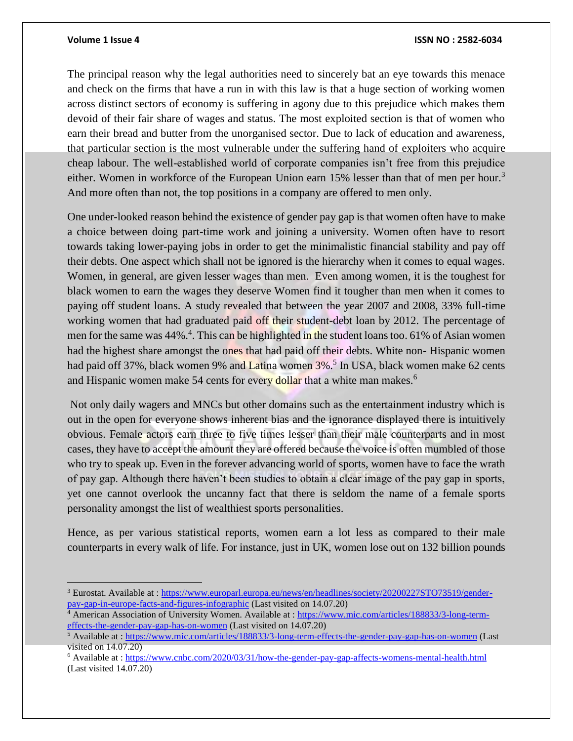#### **Volume 1 Issue 4 ISSN NO : 2582-6034**

The principal reason why the legal authorities need to sincerely bat an eye towards this menace and check on the firms that have a run in with this law is that a huge section of working women across distinct sectors of economy is suffering in agony due to this prejudice which makes them devoid of their fair share of wages and status. The most exploited section is that of women who earn their bread and butter from the unorganised sector. Due to lack of education and awareness, that particular section is the most vulnerable under the suffering hand of exploiters who acquire cheap labour. The well-established world of corporate companies isn't free from this prejudice either. Women in workforce of the European Union earn 15% lesser than that of men per hour.<sup>3</sup> And more often than not, the top positions in a company are offered to men only.

One under-looked reason behind the existence of gender pay gap is that women often have to make a choice between doing part-time work and joining a university. Women often have to resort towards taking lower-paying jobs in order to get the minimalistic financial stability and pay off their debts. One aspect which shall not be ignored is the hierarchy when it comes to equal wages. Women, in general, are given lesser wages than men. Even among women, it is the toughest for black women to earn the wages they deserve Women find it tougher than men when it comes to paying off student loans. A study revealed that between the year 2007 and 2008, 33% full-time working women that had graduated paid off their student-debt loan by 2012. The percentage of men for the same was 44%.<sup>4</sup>. This can be highlighted in the student loans too. 61% of Asian women had the highest share amongst the ones that had paid off their debts. White non- Hispanic women had paid off 37%, black women 9% and Latina women 3%.<sup>5</sup> In USA, black women make 62 cents and Hispanic women make 54 cents for every dollar that a white man makes.<sup>6</sup>

Not only daily wagers and MNCs but other domains such as the entertainment industry which is out in the open for everyone shows inherent bias and the ignorance displayed there is intuitively obvious. Female actors earn three to five times lesser than their male counterparts and in most cases, they have to accept the amount they are offered because the voice is often mumbled of those who try to speak up. Even in the forever advancing world of sports, women have to face the wrath of pay gap. Although there haven't been studies to obtain a clear image of the pay gap in sports, yet one cannot overlook the uncanny fact that there is seldom the name of a female sports personality amongst the list of wealthiest sports personalities.

Hence, as per various statistical reports, women earn a lot less as compared to their male counterparts in every walk of life. For instance, just in UK, women lose out on 132 billion pounds

<sup>&</sup>lt;sup>3</sup> Eurostat. Available at : [https://www.europarl.europa.eu/news/en/headlines/society/20200227STO73519/gender](https://www.europarl.europa.eu/news/en/headlines/society/20200227STO73519/gender-pay-gap-in-europe-facts-and-figures-infographic)[pay-gap-in-europe-facts-and-figures-infographic](https://www.europarl.europa.eu/news/en/headlines/society/20200227STO73519/gender-pay-gap-in-europe-facts-and-figures-infographic) (Last visited on 14.07.20)

<sup>4</sup> American Association of University Women. Available at : [https://www.mic.com/articles/188833/3-long-term](https://www.mic.com/articles/188833/3-long-term-effects-the-gender-pay-gap-has-on-women)[effects-the-gender-pay-gap-has-on-women](https://www.mic.com/articles/188833/3-long-term-effects-the-gender-pay-gap-has-on-women) (Last visited on 14.07.20)

<sup>&</sup>lt;sup>5</sup> Available at :<https://www.mic.com/articles/188833/3-long-term-effects-the-gender-pay-gap-has-on-women> (Last visited on 14.07.20)

<sup>6</sup> Available at :<https://www.cnbc.com/2020/03/31/how-the-gender-pay-gap-affects-womens-mental-health.html> (Last visited 14.07.20)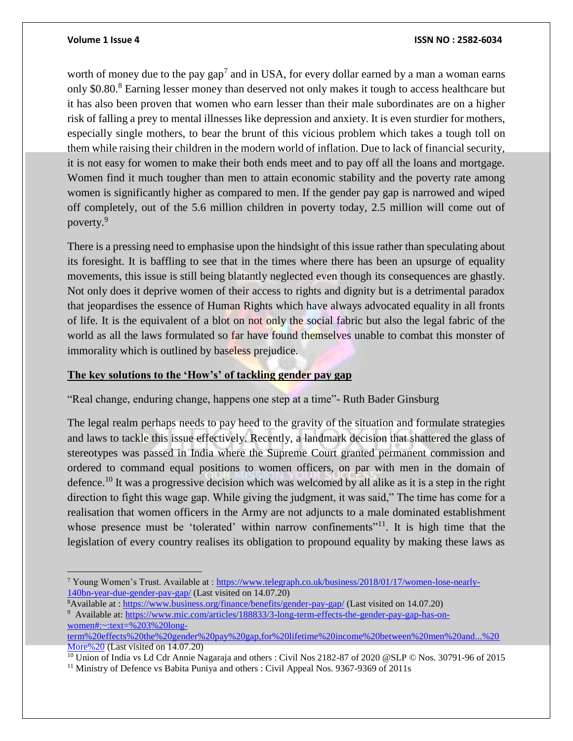$\overline{a}$ 

#### **Volume 1 Issue 4 ISSN NO : 2582-6034**

worth of money due to the pay  $gap<sup>7</sup>$  and in USA, for every dollar earned by a man a woman earns only \$0.80.<sup>8</sup> Earning lesser money than deserved not only makes it tough to access healthcare but it has also been proven that women who earn lesser than their male subordinates are on a higher risk of falling a prey to mental illnesses like depression and anxiety. It is even sturdier for mothers, especially single mothers, to bear the brunt of this vicious problem which takes a tough toll on them while raising their children in the modern world of inflation. Due to lack of financial security, it is not easy for women to make their both ends meet and to pay off all the loans and mortgage. Women find it much tougher than men to attain economic stability and the poverty rate among women is significantly higher as compared to men. If the gender pay gap is narrowed and wiped off completely, out of the 5.6 million children in poverty today, 2.5 million will come out of poverty.<sup>9</sup>

There is a pressing need to emphasise upon the hindsight of this issue rather than speculating about its foresight. It is baffling to see that in the times where there has been an upsurge of equality movements, this issue is still being blatantly neglected even though its consequences are ghastly. Not only does it deprive women of their access to rights and dignity but is a detrimental paradox that jeopardises the essence of Human Rights which have always advocated equality in all fronts of life. It is the equivalent of a blot on not only the social fabric but also the legal fabric of the world as all the laws formulated so far have found themselves unable to combat this monster of immorality which is outlined by baseless prejudice.

#### **The key solutions to the 'How's' of tackling gender pay gap**

"Real change, enduring change, happens one step at a time"- Ruth Bader Ginsburg

The legal realm perhaps needs to pay heed to the gravity of the situation and formulate strategies and laws to tackle this issue effectively. Recently, a landmark decision that shattered the glass of stereotypes was passed in India where the Supreme Court granted permanent commission and ordered to command equal positions to women officers, on par with men in the domain of defence.<sup>10</sup> It was a progressive decision which was welcomed by all alike as it is a step in the right direction to fight this wage gap. While giving the judgment, it was said," The time has come for a realisation that women officers in the Army are not adjuncts to a male dominated establishment whose presence must be 'tolerated' within narrow confinements"<sup>11</sup>. It is high time that the legislation of every country realises its obligation to propound equality by making these laws as

<sup>8</sup>Available at [: https://www.business.org/finance/benefits/gender-pay-gap/](https://www.business.org/finance/benefits/gender-pay-gap/) (Last visited on 14.07.20) <sup>9</sup> Available at: [https://www.mic.com/articles/188833/3-long-term-effects-the-gender-pay-gap-has-on](https://www.mic.com/articles/188833/3-long-term-effects-the-gender-pay-gap-has-on-women#:~:text=%203%20long-term%20effects%20the%20gender%20pay%20gap,for%20lifetime%20income%20between%20men%20and...%20More%20)[women#:~:text=%203%20long-](https://www.mic.com/articles/188833/3-long-term-effects-the-gender-pay-gap-has-on-women#:~:text=%203%20long-term%20effects%20the%20gender%20pay%20gap,for%20lifetime%20income%20between%20men%20and...%20More%20)

[term%20effects%20the%20gender%20pay%20gap,for%20lifetime%20income%20between%20men%20and...%20](https://www.mic.com/articles/188833/3-long-term-effects-the-gender-pay-gap-has-on-women#:~:text=%203%20long-term%20effects%20the%20gender%20pay%20gap,for%20lifetime%20income%20between%20men%20and...%20More%20) [More%20](https://www.mic.com/articles/188833/3-long-term-effects-the-gender-pay-gap-has-on-women#:~:text=%203%20long-term%20effects%20the%20gender%20pay%20gap,for%20lifetime%20income%20between%20men%20and...%20More%20) (Last visited on 14.07.20)

<sup>10</sup> Union of India vs Ld Cdr Annie Nagaraja and others : Civil Nos 2182-87 of 2020 @SLP © Nos. 30791-96 of 2015

<sup>11</sup> Ministry of Defence vs Babita Puniya and others : Civil Appeal Nos. 9367-9369 of 2011s

<sup>7</sup> Young Women's Trust. Available at : [https://www.telegraph.co.uk/business/2018/01/17/women-lose-nearly-](https://www.telegraph.co.uk/business/2018/01/17/women-lose-nearly-140bn-year-due-gender-pay-gap/)[140bn-year-due-gender-pay-gap/](https://www.telegraph.co.uk/business/2018/01/17/women-lose-nearly-140bn-year-due-gender-pay-gap/) (Last visited on 14.07.20)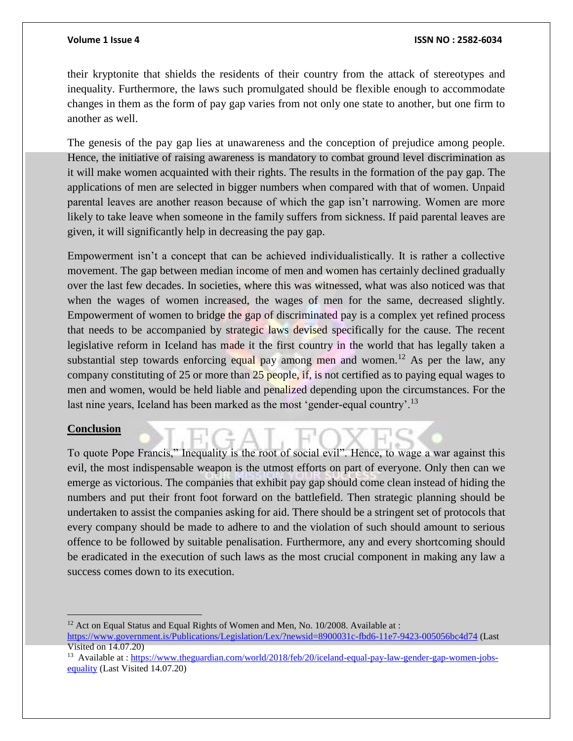#### **Volume 1 Issue 4 ISSN NO : 2582-6034**

their kryptonite that shields the residents of their country from the attack of stereotypes and inequality. Furthermore, the laws such promulgated should be flexible enough to accommodate changes in them as the form of pay gap varies from not only one state to another, but one firm to another as well.

The genesis of the pay gap lies at unawareness and the conception of prejudice among people. Hence, the initiative of raising awareness is mandatory to combat ground level discrimination as it will make women acquainted with their rights. The results in the formation of the pay gap. The applications of men are selected in bigger numbers when compared with that of women. Unpaid parental leaves are another reason because of which the gap isn't narrowing. Women are more likely to take leave when someone in the family suffers from sickness. If paid parental leaves are given, it will significantly help in decreasing the pay gap.

Empowerment isn't a concept that can be achieved individualistically. It is rather a collective movement. The gap between median income of men and women has certainly declined gradually over the last few decades. In societies, where this was witnessed, what was also noticed was that when the wages of women increased, the wages of men for the same, decreased slightly. Empowerment of women to bridge the gap of discriminated pay is a complex yet refined process that needs to be accompanied by strategic laws devised specifically for the cause. The recent legislative reform in Iceland has made it the first country in the world that has legally taken a substantial step towards enforcing equal pay among men and women.<sup>12</sup> As per the law, any company constituting of 25 or more than 25 people, if, is not certified as to paying equal wages to men and women, would be held liable and penalized depending upon the circumstances. For the last nine years, Iceland has been marked as the most 'gender-equal country'.<sup>13</sup>

#### **Conclusion**

To quote Pope Francis," Inequality is the root of social evil". Hence, to wage a war against this evil, the most indispensable weapon is the utmost efforts on part of everyone. Only then can we emerge as victorious. The companies that exhibit pay gap should come clean instead of hiding the numbers and put their front foot forward on the battlefield. Then strategic planning should be undertaken to assist the companies asking for aid. There should be a stringent set of protocols that every company should be made to adhere to and the violation of such should amount to serious offence to be followed by suitable penalisation. Furthermore, any and every shortcoming should be eradicated in the execution of such laws as the most crucial component in making any law a success comes down to its execution.

<sup>12</sup> Act on Equal Status and Equal Rights of Women and Men, No. 10/2008. Available at : <https://www.government.is/Publications/Legislation/Lex/?newsid=8900031c-fbd6-11e7-9423-005056bc4d74> (Last Visited on 14.07.20)

<sup>&</sup>lt;sup>13</sup> Available at : [https://www.theguardian.com/world/2018/feb/20/iceland-equal-pay-law-gender-gap-women-jobs](https://www.theguardian.com/world/2018/feb/20/iceland-equal-pay-law-gender-gap-women-jobs-equality)[equality](https://www.theguardian.com/world/2018/feb/20/iceland-equal-pay-law-gender-gap-women-jobs-equality) (Last Visited 14.07.20)